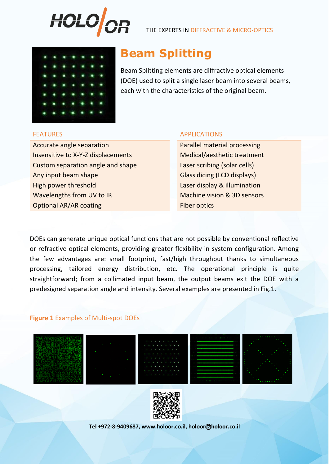

THE EXPERTS IN DIFFRACTIVE & MICRO-OPTICS



# **Beam Splitting**

Beam Splitting elements are diffractive optical elements (DOE) used to split a single laser beam into several beams, each with the characteristics of the original beam.

Accurate angle separation **Parallel material processing** Insensitive to X-Y-Z displacements Medical/aesthetic treatment Custom separation angle and shape Laser scribing (solar cells) Any input beam shape Glass dicing (LCD displays) High power threshold **Laser display & illumination** Wavelengths from UV to IR Machine vision & 3D sensors **Optional AR/AR coating Fiber optics** 

# FEATURES APPLICATIONS

DOEs can generate unique optical functions that are not possible by conventional reflective or refractive optical elements, providing greater flexibility in system configuration. Among the few advantages are: small footprint, fast/high throughput thanks to simultaneous processing, tailored energy distribution, etc. The operational principle is quite straightforward; from a collimated input beam, the output beams exit the DOE with a predesigned separation angle and intensity. Several examples are presented in Fig.1.

# **Figure 1** Examples of Multi-spot DOEs











**Tel +972-8-9409687, www.holoor.co.il, holoor@holoor.co.il**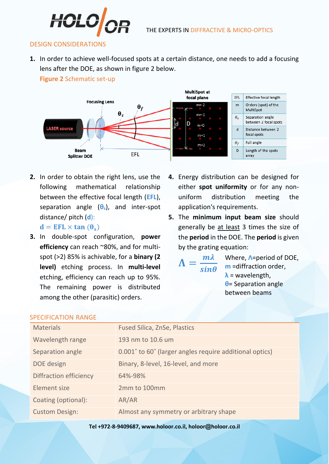

### DESIGN CONSIDERATIONS

**1.** In order to achieve well-focused spots at a certain distance, one needs to add a focusing lens after the DOE, as shown in figure 2 below.

**Figure 2** Schematic set-up



**2.** In order to obtain the right lens, use the following mathematical relationship between the effective focal length (**EFL**), separation angle (**θs**), and inter-spot distance/ pitch (**d**):

 $d = EFL \times tan(\theta_s)$ 

- **3.** In double-spot configuration, **power efficiency** can reach ~80%, and for multispot (>2) 85% is achivable, for a **binary (2 level)** etching process. In **multi-level**  etching, efficiency can reach up to 95%. The remaining power is distributed among the other (parasitic) orders.
- **4.** Energy distribution can be designed for either **spot uniformity** or for any nonuniform distribution meeting the application's requirements.
- **5.** The **minimum input beam size** should generally be at least 3 times the size of the **period** in the DOE. The **period** is given by the grating equation:

 $\Lambda =$  $m\lambda$  $sin\theta$ 

Where, **Λ**=period of DOE, **m** =diffraction order, **λ** = wavelength, **θ**= Separation angle between beams

| <b>Materials</b>              | <b>Fused Silica, ZnSe, Plastics</b>                     |
|-------------------------------|---------------------------------------------------------|
| Wavelength range              | 193 nm to 10.6 um                                       |
| Separation angle              | 0.001° to 60° (larger angles require additional optics) |
| DOE design                    | Binary, 8-level, 16-level, and more                     |
| <b>Diffraction efficiency</b> | 64%-98%                                                 |
| Element size                  | 2mm to 100mm                                            |
| Coating (optional):           | AR/AR                                                   |
| <b>Custom Design:</b>         | Almost any symmetry or arbitrary shape                  |

## SPECIFICATION RANGE

**Tel +972-8-9409687, www.holoor.co.il, holoor@holoor.co.il**